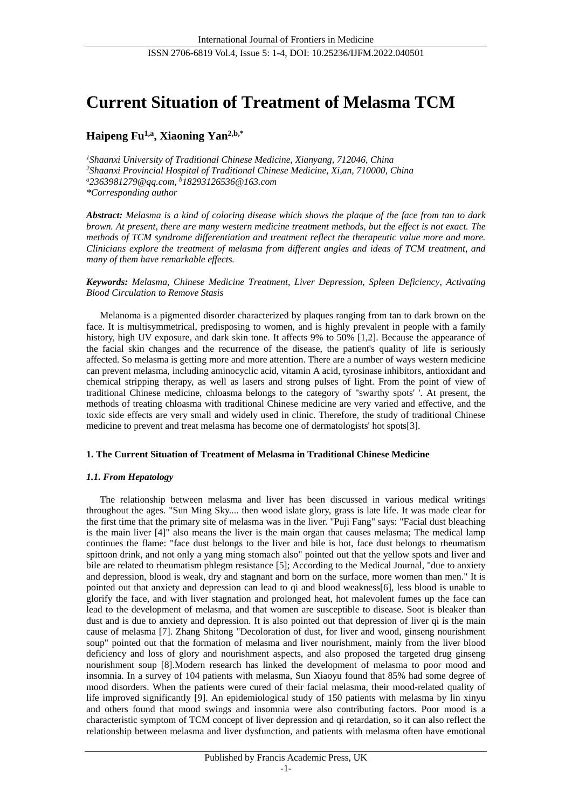# **Current Situation of Treatment of Melasma TCM**

**Haipeng Fu1,a , Xiaoning Yan2,b,\***

*<sup>1</sup>Shaanxi University of Traditional Chinese Medicine, Xianyang, 712046, China <sup>2</sup>Shaanxi Provincial Hospital of Traditional Chinese Medicine, Xi,an, 710000, China <sup>a</sup>2363981279@qq.com, <sup>b</sup>18293126536@163.com \*Corresponding author*

Abstract: Melasma is a kind of coloring disease which shows the plaque of the face from tan to dark *brown. At present, there are many western medicine treatment methods, but the effect is not exact. The methods of TCM syndrome differentiation and treatment reflect the therapeutic value more and more. Clinicians explore the treatment of melasma from different angles and ideas of TCM treatment, and many of them have remarkable effects.*

*Keywords: Melasma, Chinese Medicine Treatment, Liver Depression, Spleen Deficiency, Activating Blood Circulation to Remove Stasis*

Melanoma is a pigmented disorder characterized by plaques ranging from tan to dark brown on the face. It is multisymmetrical, predisposing to women, and is highly prevalent in people with a family history, high UV exposure, and dark skin tone. It affects 9% to 50% [1,2]. Because the appearance of the facial skin changes and the recurrence of the disease, the patient's quality of life is seriously affected. So melasma is getting more and more attention. There are a number of ways western medicine can prevent melasma, including aminocyclic acid, vitamin A acid, tyrosinase inhibitors, antioxidant and chemical stripping therapy, as well as lasers and strong pulses of light. From the point of view of traditional Chinese medicine, chloasma belongs to the category of "swarthy spots' '. At present, the methods of treating chloasma with traditional Chinese medicine are very varied and effective, and the toxic side effects are very small and widely used in clinic. Therefore, the study of traditional Chinese medicine to prevent and treat melasma has become one of dermatologists' hot spots[3].

## **1. The Current Situation of Treatment of Melasma in Traditional Chinese Medicine**

## *1.1. From Hepatology*

The relationship between melasma and liver has been discussed in various medical writings throughout the ages. "Sun Ming Sky.... then wood islate glory, grass is late life. It was made clear for the first time that the primary site of melasma was in the liver. "Puji Fang" says: "Facial dust bleaching is the main liver [4]" also means the liver is the main organ that causes melasma; The medical lamp continues the flame: "face dust belongs to the liver and bile is hot, face dust belongs to rheumatism spittoon drink, and not only a yang ming stomach also" pointed out that the yellow spots and liver and bile are related to rheumatism phlegm resistance [5]; According to the Medical Journal, "due to anxiety and depression, blood is weak, dry and stagnant and born on the surface, more women than men." It is pointed out that anxiety and depression can lead to qi and blood weakness[6], less blood is unable to glorify the face, and with liver stagnation and prolonged heat, hot malevolent fumes up the face can lead to the development of melasma, and that women are susceptible to disease. Soot is bleaker than dust and is due to anxiety and depression. It is also pointed out that depression of liver qi is the main cause of melasma [7]. Zhang Shitong "Decoloration of dust, for liver and wood, ginseng nourishment soup" pointed out that the formation of melasma and liver nourishment, mainly from the liver blood deficiency and loss of glory and nourishment aspects, and also proposed the targeted drug ginseng nourishment soup [8].Modern research has linked the development of melasma to poor mood and insomnia. In a survey of 104 patients with melasma, Sun Xiaoyu found that 85% had some degree of mood disorders. When the patients were cured of their facial melasma, their mood-related quality of life improved significantly [9]. An epidemiological study of 150 patients with melasma by lin xinyu and others found that mood swings and insomnia were also contributing factors. Poor mood is a characteristic symptom of TCM concept of liver depression and qi retardation, so it can also reflect the relationship between melasma and liver dysfunction, and patients with melasma often have emotional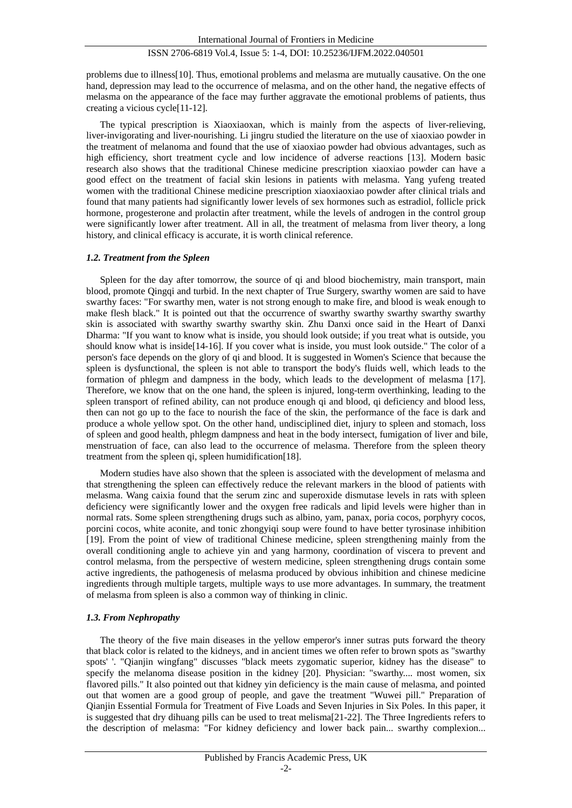## ISSN 2706-6819 Vol.4, Issue 5: 1-4, DOI: 10.25236/IJFM.2022.040501

problems due to illness[10]. Thus, emotional problems and melasma are mutually causative. On the one hand, depression may lead to the occurrence of melasma, and on the other hand, the negative effects of melasma on the appearance of the face may further aggravate the emotional problems of patients, thus creating a vicious cycle[11-12].

The typical prescription is Xiaoxiaoxan, which is mainly from the aspects of liver-relieving, liver-invigorating and liver-nourishing. Li jingru studied the literature on the use of xiaoxiao powder in the treatment of melanoma and found that the use of xiaoxiao powder had obvious advantages, such as high efficiency, short treatment cycle and low incidence of adverse reactions [13]. Modern basic research also shows that the traditional Chinese medicine prescription xiaoxiao powder can have a good effect on the treatment of facial skin lesions in patients with melasma. Yang yufeng treated women with the traditional Chinese medicine prescription xiaoxiaoxiao powder after clinical trials and found that many patients had significantly lower levels of sex hormones such as estradiol, follicle prick hormone, progesterone and prolactin after treatment, while the levels of androgen in the control group were significantly lower after treatment. All in all, the treatment of melasma from liver theory, a long history, and clinical efficacy is accurate, it is worth clinical reference.

#### *1.2. Treatment from the Spleen*

Spleen for the day after tomorrow, the source of qi and blood biochemistry, main transport, main blood, promote Qingqi and turbid. In the next chapter of True Surgery, swarthy women are said to have swarthy faces: "For swarthy men, water is not strong enough to make fire, and blood is weak enough to make flesh black." It is pointed out that the occurrence of swarthy swarthy swarthy swarthy swarthy skin is associated with swarthy swarthy swarthy skin. Zhu Danxi once said in the Heart of Danxi Dharma: "If you want to know what is inside, you should look outside; if you treat what is outside, you should know what is inside[14-16]. If you cover what is inside, you must look outside." The color of a person's face depends on the glory of qi and blood. It is suggested in Women's Science that because the spleen is dysfunctional, the spleen is not able to transport the body's fluids well, which leads to the formation of phlegm and dampness in the body, which leads to the development of melasma [17]. Therefore, we know that on the one hand, the spleen is injured, long-term overthinking, leading to the spleen transport of refined ability, can not produce enough qi and blood, qi deficiency and blood less, then can not go up to the face to nourish the face of the skin, the performance of the face is dark and produce a whole yellow spot. On the other hand, undisciplined diet, injury to spleen and stomach, loss of spleen and good health, phlegm dampness and heat in the body intersect, fumigation of liver and bile, menstruation of face, can also lead to the occurrence of melasma. Therefore from the spleen theory treatment from the spleen qi, spleen humidification[18].

Modern studies have also shown that the spleen is associated with the development of melasma and that strengthening the spleen can effectively reduce the relevant markers in the blood of patients with melasma. Wang caixia found that the serum zinc and superoxide dismutase levels in rats with spleen deficiency were significantly lower and the oxygen free radicals and lipid levels were higher than in normal rats. Some spleen strengthening drugs such as albino, yam, panax, poria cocos, porphyry cocos, porcini cocos, white aconite, and tonic zhongyiqi soup were found to have better tyrosinase inhibition [19]. From the point of view of traditional Chinese medicine, spleen strengthening mainly from the overall conditioning angle to achieve yin and yang harmony, coordination of viscera to prevent and control melasma, from the perspective of western medicine, spleen strengthening drugs contain some active ingredients, the pathogenesis of melasma produced by obvious inhibition and chinese medicine ingredients through multiple targets, multiple ways to use more advantages. In summary, the treatment of melasma from spleen is also a common way of thinking in clinic.

#### *1.3. From Nephropathy*

The theory of the five main diseases in the yellow emperor's inner sutras puts forward the theory that black color is related to the kidneys, and in ancient times we often refer to brown spots as "swarthy spots' '. "Qianjin wingfang" discusses "black meets zygomatic superior, kidney has the disease" to specify the melanoma disease position in the kidney [20]. Physician: "swarthy.... most women, six flavored pills." It also pointed out that kidney yin deficiency is the main cause of melasma, and pointed out that women are a good group of people, and gave the treatment "Wuwei pill." Preparation of Qianjin Essential Formula for Treatment of Five Loads and Seven Injuries in Six Poles. In this paper, it is suggested that dry dihuang pills can be used to treat melisma[21-22]. The Three Ingredients refers to the description of melasma: "For kidney deficiency and lower back pain... swarthy complexion...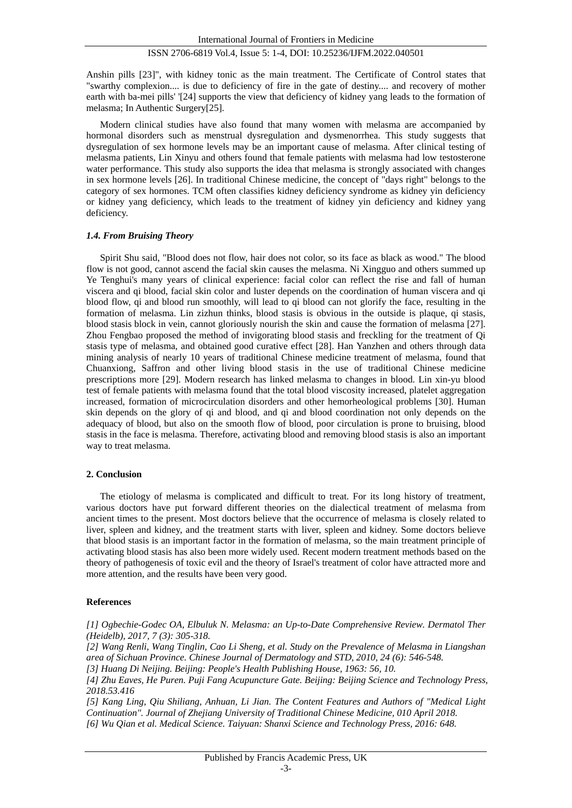#### ISSN 2706-6819 Vol.4, Issue 5: 1-4, DOI: 10.25236/IJFM.2022.040501

Anshin pills [23]", with kidney tonic as the main treatment. The Certificate of Control states that "swarthy complexion.... is due to deficiency of fire in the gate of destiny.... and recovery of mother earth with ba-mei pills' '[24] supports the view that deficiency of kidney yang leads to the formation of melasma; In Authentic Surgery[25].

Modern clinical studies have also found that many women with melasma are accompanied by hormonal disorders such as menstrual dysregulation and dysmenorrhea. This study suggests that dysregulation of sex hormone levels may be an important cause of melasma. After clinical testing of melasma patients, Lin Xinyu and others found that female patients with melasma had low testosterone water performance. This study also supports the idea that melasma is strongly associated with changes in sex hormone levels [26]. In traditional Chinese medicine, the concept of "days right" belongs to the category of sex hormones. TCM often classifies kidney deficiency syndrome as kidney yin deficiency or kidney yang deficiency, which leads to the treatment of kidney yin deficiency and kidney yang deficiency.

#### *1.4. From Bruising Theory*

Spirit Shu said, "Blood does not flow, hair does not color, so its face as black as wood." The blood flow is not good, cannot ascend the facial skin causes the melasma. Ni Xingguo and others summed up Ye Tenghui's many years of clinical experience: facial color can reflect the rise and fall of human viscera and qi blood, facial skin color and luster depends on the coordination of human viscera and qi blood flow, qi and blood run smoothly, will lead to qi blood can not glorify the face, resulting in the formation of melasma. Lin zizhun thinks, blood stasis is obvious in the outside is plaque, qi stasis, blood stasis block in vein, cannot gloriously nourish the skin and cause the formation of melasma [27]. Zhou Fengbao proposed the method of invigorating blood stasis and freckling for the treatment of Qi stasis type of melasma, and obtained good curative effect [28]. Han Yanzhen and others through data mining analysis of nearly 10 years of traditional Chinese medicine treatment of melasma, found that Chuanxiong, Saffron and other living blood stasis in the use of traditional Chinese medicine prescriptions more [29]. Modern research has linked melasma to changes in blood. Lin xin-yu blood test of female patients with melasma found that the total blood viscosity increased, platelet aggregation increased, formation of microcirculation disorders and other hemorheological problems [30]. Human skin depends on the glory of qi and blood, and qi and blood coordination not only depends on the adequacy of blood, but also on the smooth flow of blood, poor circulation is prone to bruising, blood stasis in the face is melasma. Therefore, activating blood and removing blood stasis is also an important way to treat melasma.

#### **2. Conclusion**

The etiology of melasma is complicated and difficult to treat. For its long history of treatment, various doctors have put forward different theories on the dialectical treatment of melasma from ancient times to the present. Most doctors believe that the occurrence of melasma is closely related to liver, spleen and kidney, and the treatment starts with liver, spleen and kidney. Some doctors believe that blood stasis is an important factor in the formation of melasma, so the main treatment principle of activating blood stasis has also been more widely used. Recent modern treatment methods based on the theory of pathogenesis of toxic evil and the theory of Israel's treatment of color have attracted more and more attention, and the results have been very good.

#### **References**

*[1] Ogbechie-Godec OA, Elbuluk N. Melasma: an Up-to-Date Comprehensive Review. Dermatol Ther (Heidelb), 2017, 7 (3): 305-318.*

*[2] Wang Renli, Wang Tinglin, Cao Li Sheng, et al. Study on the Prevalence of Melasma in Liangshan area of Sichuan Province. Chinese Journal of Dermatology and STD, 2010, 24 (6): 546-548.*

*[3] Huang Di Neijing. Beijing: People's Health Publishing House, 1963: 56, 10.*

*[4] Zhu Eaves, He Puren. Puji Fang Acupuncture Gate. Beijing: Beijing Science and Technology Press, 2018.53.416*

*[5] Kang Ling, Qiu Shiliang, Anhuan, Li Jian. The Content Features and Authors of "Medical Light Continuation". Journal of Zhejiang University of Traditional Chinese Medicine, 010 April 2018. [6] Wu Qian et al. Medical Science. Taiyuan: Shanxi Science and Technology Press, 2016: 648.*